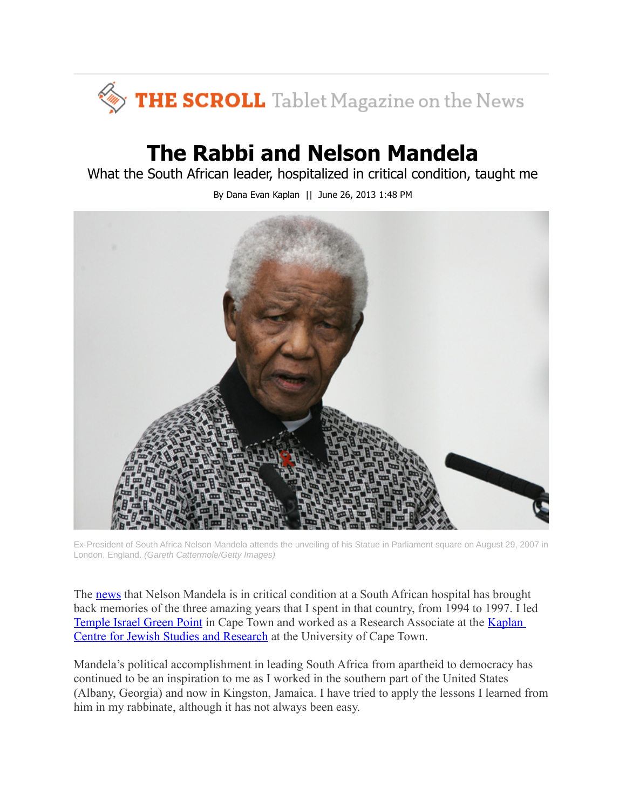

## **The Rabbi and Nelson Mandela**

What the South African leader, hospitalized in critical condition, taught me

By Dana Evan Kaplan || June 26, 2013 1:48 PM

Ex-President of South Africa Nelson Mandela attends the unveiling of his Statue in Parliament square on August 29, 2007 in London, England. (Gareth Cattermole/Getty Images)

The [news](http://www.cnn.com/2013/06/26/world/africa/south-africa-mandela) that Nelson Mandela is in critical condition at a South African hospital has brought back memories of the three amazing years that I spent in that country, from 1994 to 1997. I led [Temple Israel Green Point](http://www.templeisrael.co.za/) in Cape Town and worked as a Research Associate at the [Kaplan](http://www.kaplancentre.uct.ac.za/) [Centre for Jewish Studies and Research](http://www.kaplancentre.uct.ac.za/) at the University of Cape Town.

Mandela's political accomplishment in leading South Africa from apartheid to democracy has continued to be an inspiration to me as I worked in the southern part of the United States (Albany, Georgia) and now in Kingston, Jamaica. I have tried to apply the lessons I learned from him in my rabbinate, although it has not always been easy.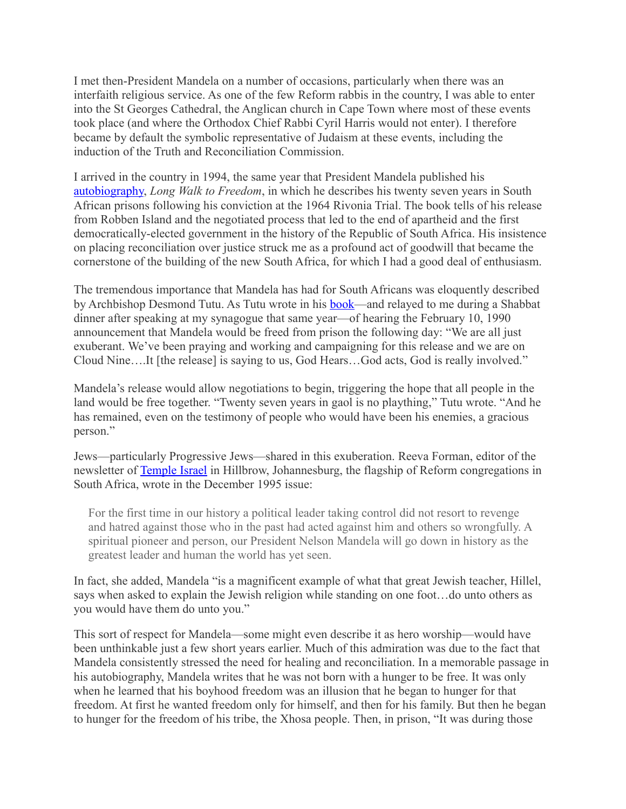I met then-President Mandela on a number of occasions, particularly when there was an interfaith religious service. As one of the few Reform rabbis in the country, I was able to enter into the St Georges Cathedral, the Anglican church in Cape Town where most of these events took place (and where the Orthodox Chief Rabbi Cyril Harris would not enter). I therefore became by default the symbolic representative of Judaism at these events, including the induction of the Truth and Reconciliation Commission.

I arrived in the country in 1994, the same year that President Mandela published his [autobiography,](http://www.amazon.com/Long-Walk-Freedom-Autobiography-Mandela/dp/0316548189) *Long Walk to Freedom*, in which he describes his twenty seven years in South African prisons following his conviction at the 1964 Rivonia Trial. The book tells of his release from Robben Island and the negotiated process that led to the end of apartheid and the first democratically-elected government in the history of the Republic of South Africa. His insistence on placing reconciliation over justice struck me as a profound act of goodwill that became the cornerstone of the building of the new South Africa, for which I had a good deal of enthusiasm.

The tremendous importance that Mandela has had for South Africans was eloquently described by Archbishop Desmond Tutu. As Tutu wrote in his [book—](http://www.amazon.com/The-Rainbow-People-God-Apartheid/dp/0553408860)and relayed to me during a Shabbat dinner after speaking at my synagogue that same year—of hearing the February 10, 1990 announcement that Mandela would be freed from prison the following day: "We are all just exuberant. We've been praying and working and campaigning for this release and we are on Cloud Nine….It [the release] is saying to us, God Hears…God acts, God is really involved."

Mandela's release would allow negotiations to begin, triggering the hope that all people in the land would be free together. "Twenty seven years in gaol is no plaything," Tutu wrote. "And he has remained, even on the testimony of people who would have been his enemies, a gracious person."

Jews—particularly Progressive Jews—shared in this exuberation. Reeva Forman, editor of the newsletter of [Temple Israel](http://www.templeisraelh.org.za/) in Hillbrow, Johannesburg, the flagship of Reform congregations in South Africa, wrote in the December 1995 issue:

For the first time in our history a political leader taking control did not resort to revenge and hatred against those who in the past had acted against him and others so wrongfully. A spiritual pioneer and person, our President Nelson Mandela will go down in history as the greatest leader and human the world has yet seen.

In fact, she added, Mandela "is a magnificent example of what that great Jewish teacher, Hillel, says when asked to explain the Jewish religion while standing on one foot…do unto others as you would have them do unto you."

This sort of respect for Mandela—some might even describe it as hero worship—would have been unthinkable just a few short years earlier. Much of this admiration was due to the fact that Mandela consistently stressed the need for healing and reconciliation. In a memorable passage in his autobiography, Mandela writes that he was not born with a hunger to be free. It was only when he learned that his boyhood freedom was an illusion that he began to hunger for that freedom. At first he wanted freedom only for himself, and then for his family. But then he began to hunger for the freedom of his tribe, the Xhosa people. Then, in prison, "It was during those